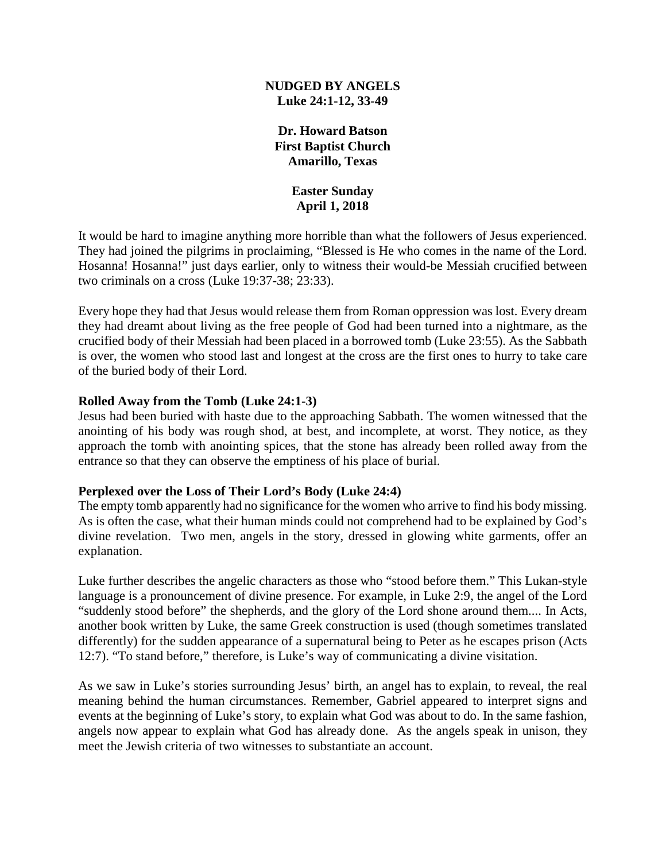### **NUDGED BY ANGELS Luke 24:1-12, 33-49**

## **Dr. Howard Batson First Baptist Church Amarillo, Texas**

### **Easter Sunday April 1, 2018**

It would be hard to imagine anything more horrible than what the followers of Jesus experienced. They had joined the pilgrims in proclaiming, "Blessed is He who comes in the name of the Lord. Hosanna! Hosanna!" just days earlier, only to witness their would-be Messiah crucified between two criminals on a cross (Luke 19:37-38; 23:33).

Every hope they had that Jesus would release them from Roman oppression was lost. Every dream they had dreamt about living as the free people of God had been turned into a nightmare, as the crucified body of their Messiah had been placed in a borrowed tomb (Luke 23:55). As the Sabbath is over, the women who stood last and longest at the cross are the first ones to hurry to take care of the buried body of their Lord.

### **Rolled Away from the Tomb (Luke 24:1-3)**

Jesus had been buried with haste due to the approaching Sabbath. The women witnessed that the anointing of his body was rough shod, at best, and incomplete, at worst. They notice, as they approach the tomb with anointing spices, that the stone has already been rolled away from the entrance so that they can observe the emptiness of his place of burial.

## **Perplexed over the Loss of Their Lord's Body (Luke 24:4)**

The empty tomb apparently had no significance for the women who arrive to find his body missing. As is often the case, what their human minds could not comprehend had to be explained by God's divine revelation. Two men, angels in the story, dressed in glowing white garments, offer an explanation.

Luke further describes the angelic characters as those who "stood before them." This Lukan-style language is a pronouncement of divine presence. For example, in Luke 2:9, the angel of the Lord "suddenly stood before" the shepherds, and the glory of the Lord shone around them.... In Acts, another book written by Luke, the same Greek construction is used (though sometimes translated differently) for the sudden appearance of a supernatural being to Peter as he escapes prison (Acts 12:7). "To stand before," therefore, is Luke's way of communicating a divine visitation.

As we saw in Luke's stories surrounding Jesus' birth, an angel has to explain, to reveal, the real meaning behind the human circumstances. Remember, Gabriel appeared to interpret signs and events at the beginning of Luke's story, to explain what God was about to do. In the same fashion, angels now appear to explain what God has already done. As the angels speak in unison, they meet the Jewish criteria of two witnesses to substantiate an account.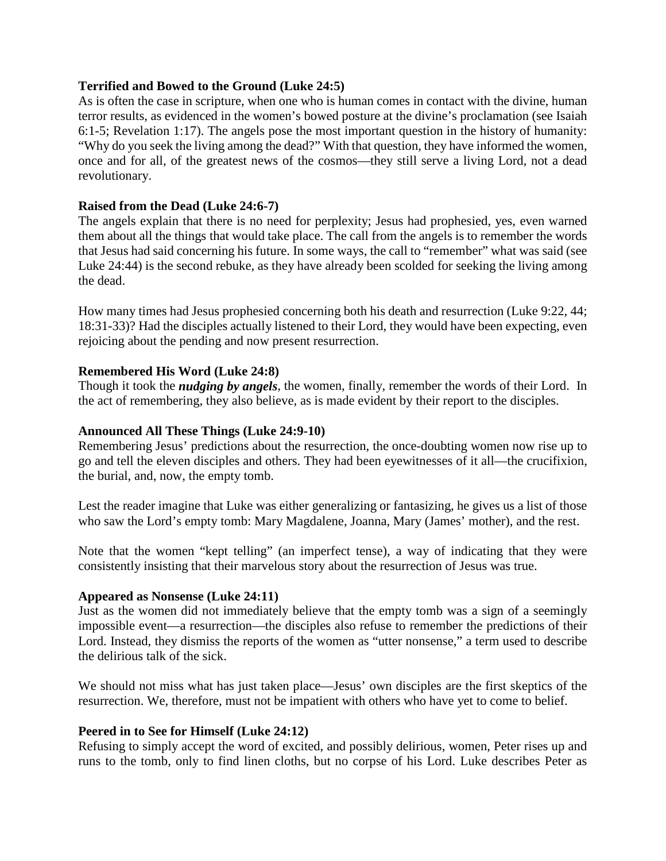### **Terrified and Bowed to the Ground (Luke 24:5)**

As is often the case in scripture, when one who is human comes in contact with the divine, human terror results, as evidenced in the women's bowed posture at the divine's proclamation (see Isaiah 6:1-5; Revelation 1:17). The angels pose the most important question in the history of humanity: "Why do you seek the living among the dead?" With that question, they have informed the women, once and for all, of the greatest news of the cosmos—they still serve a living Lord, not a dead revolutionary.

### **Raised from the Dead (Luke 24:6-7)**

The angels explain that there is no need for perplexity; Jesus had prophesied, yes, even warned them about all the things that would take place. The call from the angels is to remember the words that Jesus had said concerning his future. In some ways, the call to "remember" what was said (see Luke 24:44) is the second rebuke, as they have already been scolded for seeking the living among the dead.

How many times had Jesus prophesied concerning both his death and resurrection (Luke 9:22, 44; 18:31-33)? Had the disciples actually listened to their Lord, they would have been expecting, even rejoicing about the pending and now present resurrection.

### **Remembered His Word (Luke 24:8)**

Though it took the *nudging by angels*, the women, finally, remember the words of their Lord. In the act of remembering, they also believe, as is made evident by their report to the disciples.

### **Announced All These Things (Luke 24:9-10)**

Remembering Jesus' predictions about the resurrection, the once-doubting women now rise up to go and tell the eleven disciples and others. They had been eyewitnesses of it all—the crucifixion, the burial, and, now, the empty tomb.

Lest the reader imagine that Luke was either generalizing or fantasizing, he gives us a list of those who saw the Lord's empty tomb: Mary Magdalene, Joanna, Mary (James' mother), and the rest.

Note that the women "kept telling" (an imperfect tense), a way of indicating that they were consistently insisting that their marvelous story about the resurrection of Jesus was true.

### **Appeared as Nonsense (Luke 24:11)**

Just as the women did not immediately believe that the empty tomb was a sign of a seemingly impossible event—a resurrection—the disciples also refuse to remember the predictions of their Lord. Instead, they dismiss the reports of the women as "utter nonsense," a term used to describe the delirious talk of the sick.

We should not miss what has just taken place—Jesus' own disciples are the first skeptics of the resurrection. We, therefore, must not be impatient with others who have yet to come to belief.

### **Peered in to See for Himself (Luke 24:12)**

Refusing to simply accept the word of excited, and possibly delirious, women, Peter rises up and runs to the tomb, only to find linen cloths, but no corpse of his Lord. Luke describes Peter as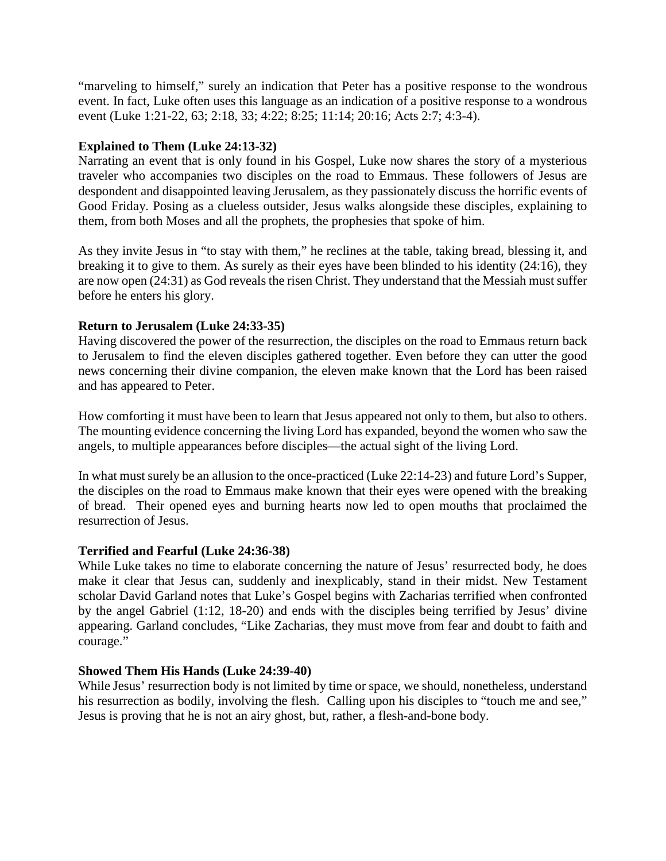"marveling to himself," surely an indication that Peter has a positive response to the wondrous event. In fact, Luke often uses this language as an indication of a positive response to a wondrous event (Luke 1:21-22, 63; 2:18, 33; 4:22; 8:25; 11:14; 20:16; Acts 2:7; 4:3-4).

# **Explained to Them (Luke 24:13-32)**

Narrating an event that is only found in his Gospel, Luke now shares the story of a mysterious traveler who accompanies two disciples on the road to Emmaus. These followers of Jesus are despondent and disappointed leaving Jerusalem, as they passionately discuss the horrific events of Good Friday. Posing as a clueless outsider, Jesus walks alongside these disciples, explaining to them, from both Moses and all the prophets, the prophesies that spoke of him.

As they invite Jesus in "to stay with them," he reclines at the table, taking bread, blessing it, and breaking it to give to them. As surely as their eyes have been blinded to his identity (24:16), they are now open (24:31) as God reveals the risen Christ. They understand that the Messiah must suffer before he enters his glory.

## **Return to Jerusalem (Luke 24:33-35)**

Having discovered the power of the resurrection, the disciples on the road to Emmaus return back to Jerusalem to find the eleven disciples gathered together. Even before they can utter the good news concerning their divine companion, the eleven make known that the Lord has been raised and has appeared to Peter.

How comforting it must have been to learn that Jesus appeared not only to them, but also to others. The mounting evidence concerning the living Lord has expanded, beyond the women who saw the angels, to multiple appearances before disciples—the actual sight of the living Lord.

In what must surely be an allusion to the once-practiced (Luke 22:14-23) and future Lord's Supper, the disciples on the road to Emmaus make known that their eyes were opened with the breaking of bread. Their opened eyes and burning hearts now led to open mouths that proclaimed the resurrection of Jesus.

## **Terrified and Fearful (Luke 24:36-38)**

While Luke takes no time to elaborate concerning the nature of Jesus' resurrected body, he does make it clear that Jesus can, suddenly and inexplicably, stand in their midst. New Testament scholar David Garland notes that Luke's Gospel begins with Zacharias terrified when confronted by the angel Gabriel (1:12, 18-20) and ends with the disciples being terrified by Jesus' divine appearing. Garland concludes, "Like Zacharias, they must move from fear and doubt to faith and courage."

## **Showed Them His Hands (Luke 24:39-40)**

While Jesus' resurrection body is not limited by time or space, we should, nonetheless, understand his resurrection as bodily, involving the flesh. Calling upon his disciples to "touch me and see," Jesus is proving that he is not an airy ghost, but, rather, a flesh-and-bone body.